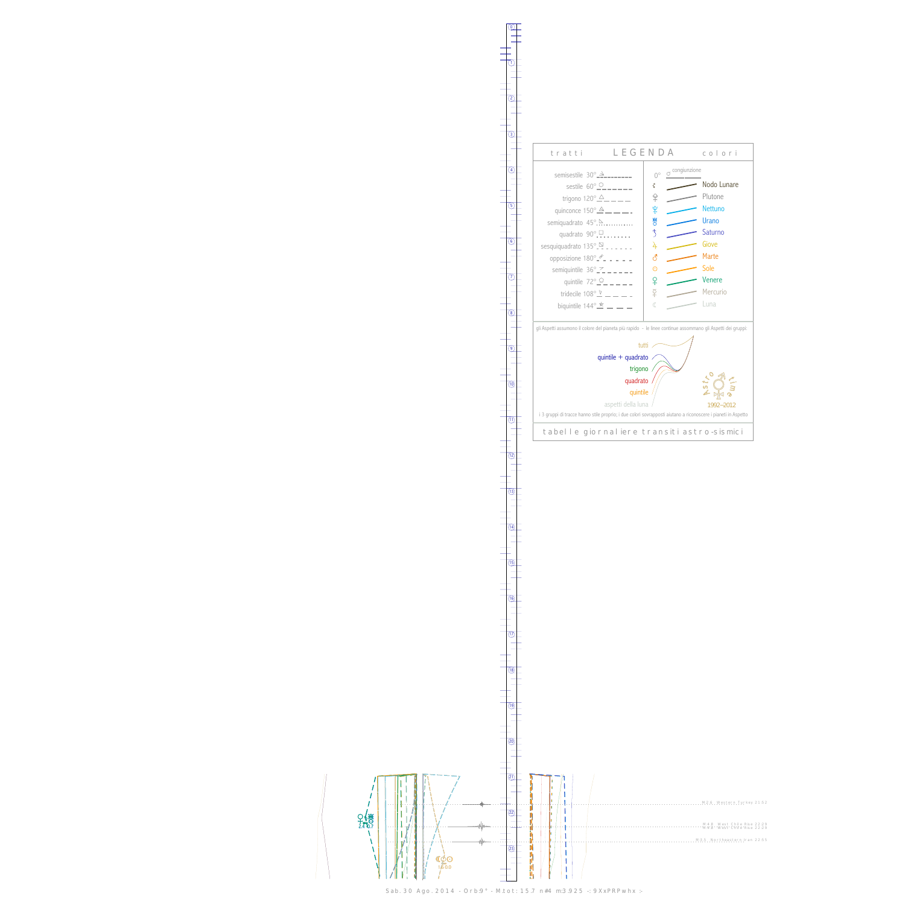$\rm _H$  $\frac{1}{2.4}$